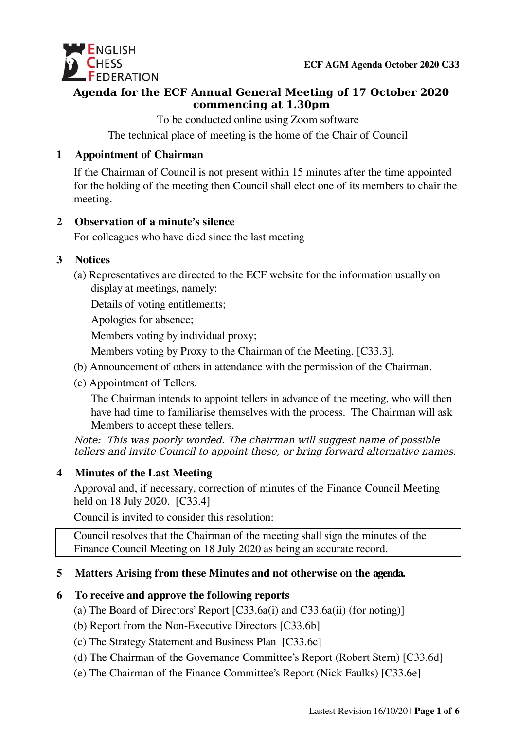

### **Agenda for the ECF Annual General Meeting of 17 October 2020 commencing at 1.30pm**

To be conducted online using Zoom software

The technical place of meeting is the home of the Chair of Council

### **1 Appointment of Chairman**

If the Chairman of Council is not present within 15 minutes after the time appointed for the holding of the meeting then Council shall elect one of its members to chair the meeting.

### **2 Observation of a minute's silence**

For colleagues who have died since the last meeting

### **3 Notices**

(a) Representatives are directed to the ECF website for the information usually on display at meetings, namely:

Details of voting entitlements;

Apologies for absence;

Members voting by individual proxy;

Members voting by Proxy to the Chairman of the Meeting. [C33.3].

- (b) Announcement of others in attendance with the permission of the Chairman.
- (c) Appointment of Tellers.

The Chairman intends to appoint tellers in advance of the meeting, who will then have had time to familiarise themselves with the process. The Chairman will ask Members to accept these tellers.

Note: This was poorly worded. The chairman will suggest name of possible tellers and invite Council to appoint these, or bring forward alternative names.

# **4 Minutes of the Last Meeting**

Approval and, if necessary, correction of minutes of the Finance Council Meeting held on 18 July 2020. [C33.4]

Council is invited to consider this resolution:

Council resolves that the Chairman of the meeting shall sign the minutes of the Finance Council Meeting on 18 July 2020 as being an accurate record.

# **5 Matters Arising from these Minutes and not otherwise on the agenda.**

### **6 To receive and approve the following reports**

- (a) The Board of Directors' Report [C33.6a(i) and C33.6a(ii) (for noting)]
- (b) Report from the Non-Executive Directors [C33.6b]
- (c) The Strategy Statement and Business Plan [C33.6c]
- (d) The Chairman of the Governance Committee's Report (Robert Stern) [C33.6d]
- (e) The Chairman of the Finance Committee's Report (Nick Faulks) [C33.6e]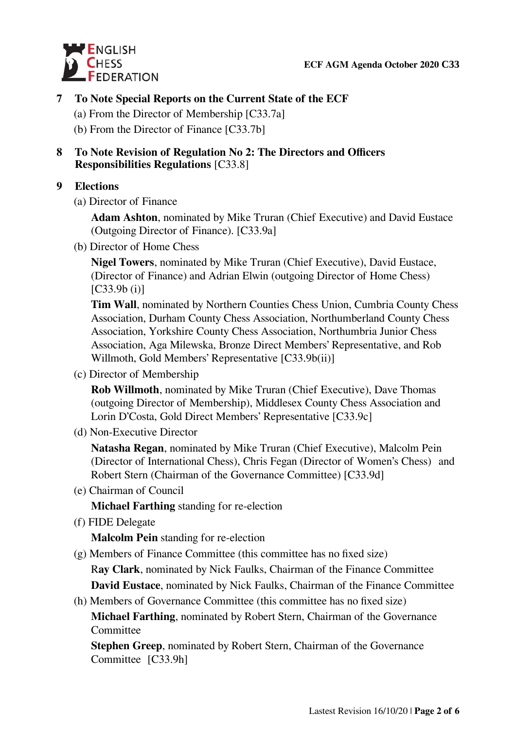

### **7 To Note Special Reports on the Current State of the ECF**

- (a) From the Director of Membership [C33.7a]
- (b) From the Director of Finance [C33.7b]

### **8 To Note Revision of Regulation No 2: The Directors and Officers Responsibilities Regulations** [C33.8]

### **9 Elections**

(a) Director of Finance

**Adam Ashton**, nominated by Mike Truran (Chief Executive) and David Eustace (Outgoing Director of Finance). [C33.9a]

(b) Director of Home Chess

**Nigel Towers**, nominated by Mike Truran (Chief Executive), David Eustace, (Director of Finance) and Adrian Elwin (outgoing Director of Home Chess)  $[C33.9b (i)]$ 

**Tim Wall**, nominated by Northern Counties Chess Union, Cumbria County Chess Association, Durham County Chess Association, Northumberland County Chess Association, Yorkshire County Chess Association, Northumbria Junior Chess Association, Aga Milewska, Bronze Direct Members' Representative, and Rob Willmoth, Gold Members' Representative [C33.9b(ii)]

(c) Director of Membership

**Rob Willmoth**, nominated by Mike Truran (Chief Executive), Dave Thomas (outgoing Director of Membership), Middlesex County Chess Association and Lorin D'Costa, Gold Direct Members' Representative [C33.9c]

(d) Non-Executive Director

**Natasha Regan**, nominated by Mike Truran (Chief Executive), Malcolm Pein (Director of International Chess), Chris Fegan (Director of Women's Chess) and Robert Stern (Chairman of the Governance Committee) [C33.9d]

(e) Chairman of Council

**Michael Farthing** standing for re-election

(f) FIDE Delegate

**Malcolm Pein** standing for re-election

(g) Members of Finance Committee (this committee has no fixed size)

R**ay Clark**, nominated by Nick Faulks, Chairman of the Finance Committee

**David Eustace**, nominated by Nick Faulks, Chairman of the Finance Committee

(h) Members of Governance Committee (this committee has no fixed size)

**Michael Farthing**, nominated by Robert Stern, Chairman of the Governance **Committee** 

**Stephen Greep**, nominated by Robert Stern, Chairman of the Governance Committee [C33.9h]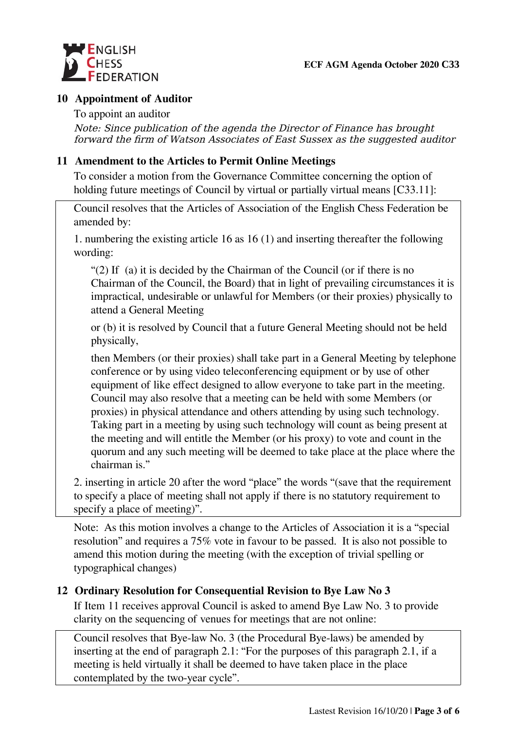

#### **10 Appointment of Auditor**

#### To appoint an auditor

Note: Since publication of the agenda the Director of Finance has brought forward the firm of Watson Associates of East Sussex as the suggested auditor

#### **11 Amendment to the Articles to Permit Online Meetings**

To consider a motion from the Governance Committee concerning the option of holding future meetings of Council by virtual or partially virtual means [C33.11]:

Council resolves that the Articles of Association of the English Chess Federation be amended by:

1. numbering the existing article 16 as 16 (1) and inserting thereafter the following wording:

"(2) If (a) it is decided by the Chairman of the Council (or if there is no Chairman of the Council, the Board) that in light of prevailing circumstances it is impractical, undesirable or unlawful for Members (or their proxies) physically to attend a General Meeting

or (b) it is resolved by Council that a future General Meeting should not be held physically,

then Members (or their proxies) shall take part in a General Meeting by telephone conference or by using video teleconferencing equipment or by use of other equipment of like effect designed to allow everyone to take part in the meeting. Council may also resolve that a meeting can be held with some Members (or proxies) in physical attendance and others attending by using such technology. Taking part in a meeting by using such technology will count as being present at the meeting and will entitle the Member (or his proxy) to vote and count in the quorum and any such meeting will be deemed to take place at the place where the chairman is."

2. inserting in article 20 after the word "place" the words "(save that the requirement to specify a place of meeting shall not apply if there is no statutory requirement to specify a place of meeting)".

Note: As this motion involves a change to the Articles of Association it is a "special resolution" and requires a 75% vote in favour to be passed. It is also not possible to amend this motion during the meeting (with the exception of trivial spelling or typographical changes)

### **12 Ordinary Resolution for Consequential Revision to Bye Law No 3**

If Item 11 receives approval Council is asked to amend Bye Law No. 3 to provide clarity on the sequencing of venues for meetings that are not online:

Council resolves that Bye-law No. 3 (the Procedural Bye-laws) be amended by inserting at the end of paragraph 2.1: "For the purposes of this paragraph 2.1, if a meeting is held virtually it shall be deemed to have taken place in the place contemplated by the two-year cycle".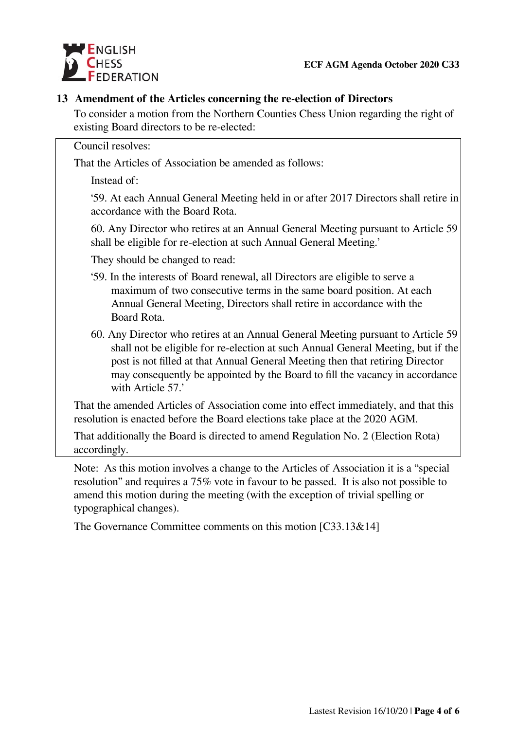

### **13 Amendment of the Articles concerning the re-election of Directors**

To consider a motion from the Northern Counties Chess Union regarding the right of existing Board directors to be re-elected:

Council resolves:

That the Articles of Association be amended as follows:

Instead of:

'59. At each Annual General Meeting held in or after 2017 Directors shall retire in accordance with the Board Rota.

60. Any Director who retires at an Annual General Meeting pursuant to Article 59 shall be eligible for re-election at such Annual General Meeting.'

They should be changed to read:

- '59. In the interests of Board renewal, all Directors are eligible to serve a maximum of two consecutive terms in the same board position. At each Annual General Meeting, Directors shall retire in accordance with the Board Rota.
- 60. Any Director who retires at an Annual General Meeting pursuant to Article 59 shall not be eligible for re-election at such Annual General Meeting, but if the post is not filled at that Annual General Meeting then that retiring Director may consequently be appointed by the Board to fill the vacancy in accordance with Article 57.'

That the amended Articles of Association come into effect immediately, and that this resolution is enacted before the Board elections take place at the 2020 AGM.

That additionally the Board is directed to amend Regulation No. 2 (Election Rota) accordingly.

Note: As this motion involves a change to the Articles of Association it is a "special resolution" and requires a 75% vote in favour to be passed. It is also not possible to amend this motion during the meeting (with the exception of trivial spelling or typographical changes).

The Governance Committee comments on this motion [C33.13&14]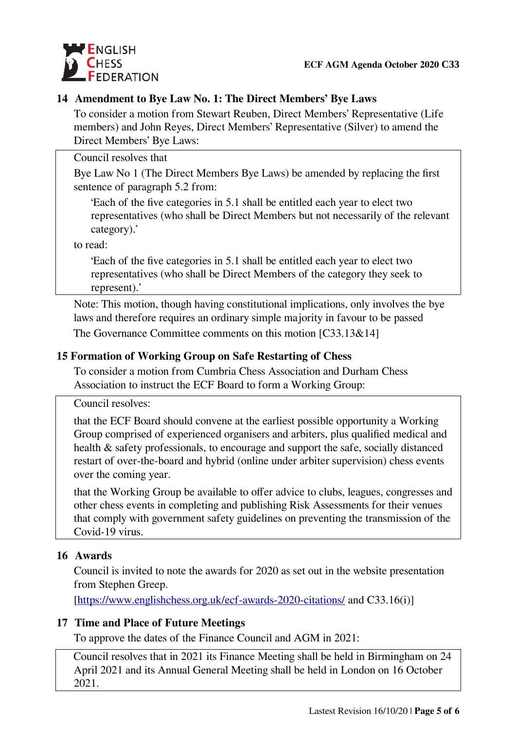

### **14 Amendment to Bye Law No. 1: The Direct Members' Bye Laws**

To consider a motion from Stewart Reuben, Direct Members' Representative (Life members) and John Reyes, Direct Members' Representative (Silver) to amend the Direct Members' Bye Laws:

Council resolves that

Bye Law No 1 (The Direct Members Bye Laws) be amended by replacing the first sentence of paragraph 5.2 from:

'Each of the five categories in 5.1 shall be entitled each year to elect two representatives (who shall be Direct Members but not necessarily of the relevant category).'

to read:

'Each of the five categories in 5.1 shall be entitled each year to elect two representatives (who shall be Direct Members of the category they seek to represent).'

Note: This motion, though having constitutional implications, only involves the bye laws and therefore requires an ordinary simple majority in favour to be passed

The Governance Committee comments on this motion [C33.13&14]

### **15 Formation of Working Group on Safe Restarting of Chess**

To consider a motion from Cumbria Chess Association and Durham Chess Association to instruct the ECF Board to form a Working Group:

Council resolves:

that the ECF Board should convene at the earliest possible opportunity a Working Group comprised of experienced organisers and arbiters, plus qualified medical and health & safety professionals, to encourage and support the safe, socially distanced restart of over-the-board and hybrid (online under arbiter supervision) chess events over the coming year.

that the Working Group be available to offer advice to clubs, leagues, congresses and other chess events in completing and publishing Risk Assessments for their venues that comply with government safety guidelines on preventing the transmission of the Covid-19 virus.

### **16 Awards**

Council is invited to note the awards for 2020 as set out in the website presentation from Stephen Greep.

[\[https://www.englishchess.org.uk/ecf-awards-2020-citations/](https://www.englishchess.org.uk/ecf-awards-2020-citations/) and C33.16(i)]

### **17 Time and Place of Future Meetings**

To approve the dates of the Finance Council and AGM in 2021:

 Council resolves that in 2021 its Finance Meeting shall be held in Birmingham on 24 April 2021 and its Annual General Meeting shall be held in London on 16 October 2021.